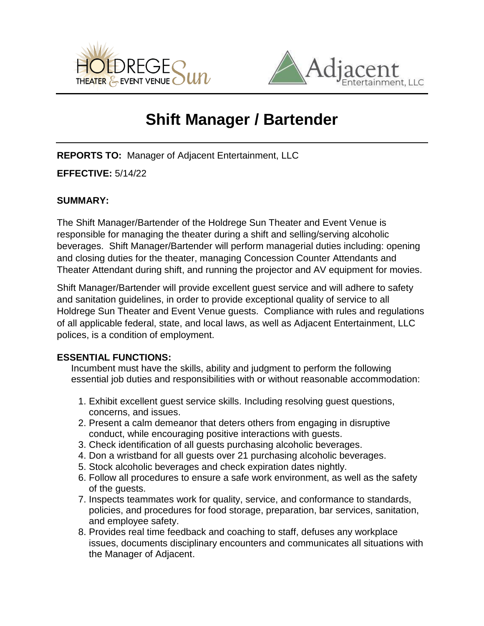



# **Shift Manager / Bartender**

**REPORTS TO:** Manager of Adjacent Entertainment, LLC

**EFFECTIVE:** 5/14/22

## **SUMMARY:**

The Shift Manager/Bartender of the Holdrege Sun Theater and Event Venue is responsible for managing the theater during a shift and selling/serving alcoholic beverages. Shift Manager/Bartender will perform managerial duties including: opening and closing duties for the theater, managing Concession Counter Attendants and Theater Attendant during shift, and running the projector and AV equipment for movies.

Shift Manager/Bartender will provide excellent guest service and will adhere to safety and sanitation guidelines, in order to provide exceptional quality of service to all Holdrege Sun Theater and Event Venue guests. Compliance with rules and regulations of all applicable federal, state, and local laws, as well as Adjacent Entertainment, LLC polices, is a condition of employment.

## **ESSENTIAL FUNCTIONS:**

Incumbent must have the skills, ability and judgment to perform the following essential job duties and responsibilities with or without reasonable accommodation:

- 1. Exhibit excellent guest service skills. Including resolving guest questions, concerns, and issues.
- 2. Present a calm demeanor that deters others from engaging in disruptive conduct, while encouraging positive interactions with guests.
- 3. Check identification of all guests purchasing alcoholic beverages.
- 4. Don a wristband for all guests over 21 purchasing alcoholic beverages.
- 5. Stock alcoholic beverages and check expiration dates nightly.
- 6. Follow all procedures to ensure a safe work environment, as well as the safety of the guests.
- 7. Inspects teammates work for quality, service, and conformance to standards, policies, and procedures for food storage, preparation, bar services, sanitation, and employee safety.
- 8. Provides real time feedback and coaching to staff, defuses any workplace issues, documents disciplinary encounters and communicates all situations with the Manager of Adjacent.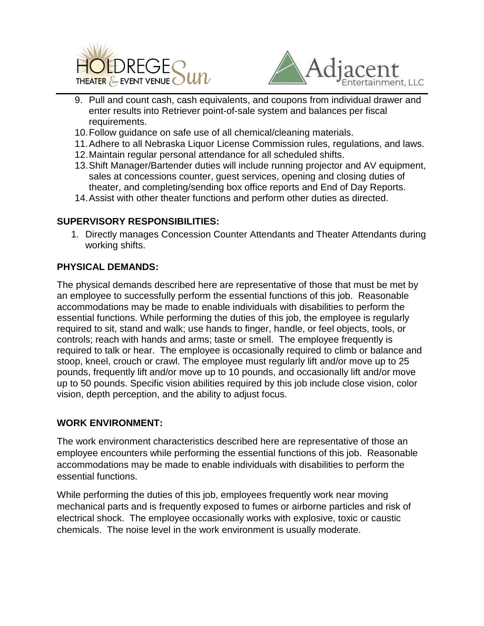



- $\overline{a}$ 9. Pull and count cash, cash equivalents, and coupons from individual drawer and enter results into Retriever point-of-sale system and balances per fiscal requirements.
- 10.Follow guidance on safe use of all chemical/cleaning materials.
- 11.Adhere to all Nebraska Liquor License Commission rules, regulations, and laws.
- 12.Maintain regular personal attendance for all scheduled shifts.
- 13.Shift Manager/Bartender duties will include running projector and AV equipment, sales at concessions counter, guest services, opening and closing duties of theater, and completing/sending box office reports and End of Day Reports.
- 14.Assist with other theater functions and perform other duties as directed.

## **SUPERVISORY RESPONSIBILITIES:**

1. Directly manages Concession Counter Attendants and Theater Attendants during working shifts.

### **PHYSICAL DEMANDS:**

The physical demands described here are representative of those that must be met by an employee to successfully perform the essential functions of this job. Reasonable accommodations may be made to enable individuals with disabilities to perform the essential functions. While performing the duties of this job, the employee is regularly required to sit, stand and walk; use hands to finger, handle, or feel objects, tools, or controls; reach with hands and arms; taste or smell. The employee frequently is required to talk or hear. The employee is occasionally required to climb or balance and stoop, kneel, crouch or crawl. The employee must regularly lift and/or move up to 25 pounds, frequently lift and/or move up to 10 pounds, and occasionally lift and/or move up to 50 pounds. Specific vision abilities required by this job include close vision, color vision, depth perception, and the ability to adjust focus.

#### **WORK ENVIRONMENT:**

The work environment characteristics described here are representative of those an employee encounters while performing the essential functions of this job. Reasonable accommodations may be made to enable individuals with disabilities to perform the essential functions.

While performing the duties of this job, employees frequently work near moving mechanical parts and is frequently exposed to fumes or airborne particles and risk of electrical shock. The employee occasionally works with explosive, toxic or caustic chemicals. The noise level in the work environment is usually moderate.